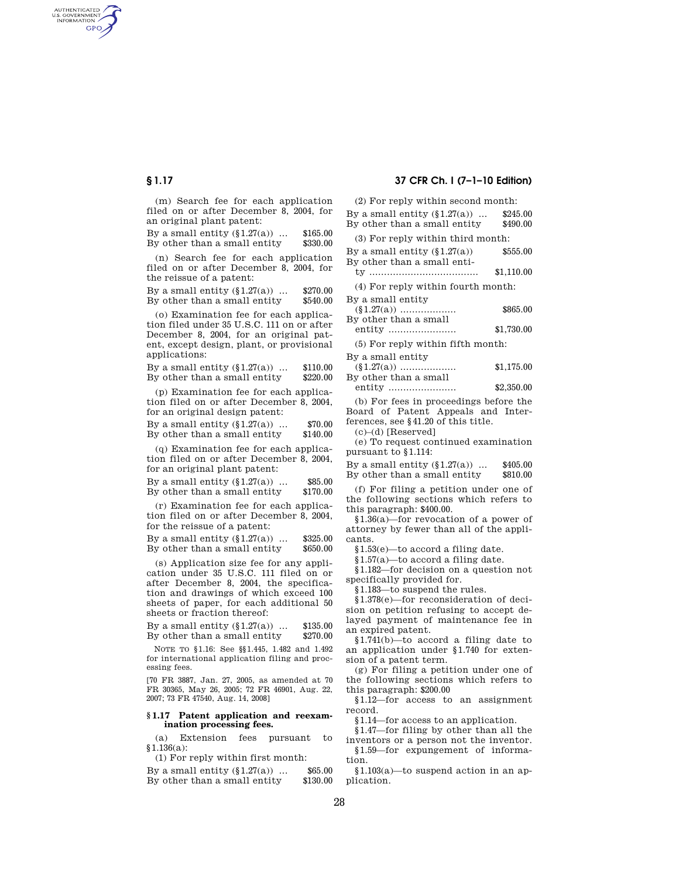AUTHENTICATED<br>U.S. GOVERNMENT<br>INFORMATION **GPO** 

> (m) Search fee for each application filed on or after December 8, 2004, for an original plant patent:

> By a small entity  $(\$1.27(a))$  ...  $\$165.00$ <br>By other than a small entity  $\$330.00$ By other than a small entity

> (n) Search fee for each application filed on or after December 8, 2004, for the reissue of a patent:

> By a small entity  $(\S1.27(a))$  ...  $\S270.00$ By other than a small entity \$540.00

> (o) Examination fee for each application filed under 35 U.S.C. 111 on or after December 8, 2004, for an original patent, except design, plant, or provisional applications:

> By a small entity  $(\S1.27(a))$  ...  $\$110.00$ By other than a small entity \$220.00

> (p) Examination fee for each application filed on or after December 8, 2004, for an original design patent:

> By a small entity  $(\S1.27(a))$  ...  $\$70.00$ By other than a small entity \$140.00

> (q) Examination fee for each application filed on or after December 8, 2004, for an original plant patent:

> By a small entity  $(\S1.27(a))$  ...  $\$85.00$ By other than a small entity \$170.00

> (r) Examination fee for each application filed on or after December 8, 2004, for the reissue of a patent:

By a small entity  $(\S1.27(a))$  ...  $\$325.00$ By other than a small entity  $$650.00$ 

(s) Application size fee for any application under 35 U.S.C. 111 filed on or after December 8, 2004, the specification and drawings of which exceed 100 sheets of paper, for each additional 50 sheets or fraction thereof:

By a small entity (§1.27(a)) ... \$135.00 By other than a small entity \$270.00

NOTE TO §1.16: See §§1.445, 1.482 and 1.492 for international application filing and processing fees.

[70 FR 3887, Jan. 27, 2005, as amended at 70 FR 30365, May 26, 2005; 72 FR 46901, Aug. 22, 2007; 73 FR 47540, Aug. 14, 2008]

## **§ 1.17 Patent application and reexamination processing fees.**

(a) Extension fees pursuant to §1.136(a):

(1) For reply within first month:

By a small entity  $(\$1.27(a))$  ...  $\$65.00$ <br>By other than a small entity  $\$130.00$ By other than a small entity

# **§ 1.17 37 CFR Ch. I (7–1–10 Edition)**

(2) For reply within second month:

By a small entity  $(\S1.27(a))$  ...  $\$245.00$ By other than a small entity \$490.00 (3) For reply within third month: By a small entity  $(\S1.27(a))$   $\$555.00$ By other than a small entity ..................................... \$1,110.00 (4) For reply within fourth month: By a small entity (§1.27(a)) ................... \$865.00 By other than a small entity ....................... \$1,730.00 (5) For reply within fifth month: By a small entity (§1.27(a)) ................... \$1,175.00 By other than a small entity ....................... \$2,350.00

(b) For fees in proceedings before the Board of Patent Appeals and Inter-

ferences, see §41.20 of this title. (c)–(d) [Reserved]

(e) To request continued examination

pursuant to §1.114:

By a small entity  $(\S1.27(a))$  ...  $\$405.00$ By other than a small entity \$810.00

(f) For filing a petition under one of the following sections which refers to this paragraph: \$400.00.

§1.36(a)—for revocation of a power of attorney by fewer than all of the applicants.

§1.53(e)—to accord a filing date.

§1.57(a)—to accord a filing date.

§1.182—for decision on a question not specifically provided for.

§1.183—to suspend the rules.

§1.378(e)—for reconsideration of decision on petition refusing to accept delayed payment of maintenance fee in an expired patent.

§1.741(b)—to accord a filing date to an application under §1.740 for extension of a patent term.

(g) For filing a petition under one of the following sections which refers to this paragraph: \$200.00

§1.12—for access to an assignment record.

§1.14—for access to an application.

§1.47—for filing by other than all the inventors or a person not the inventor.

§1.59—for expungement of information.

§1.103(a)—to suspend action in an application.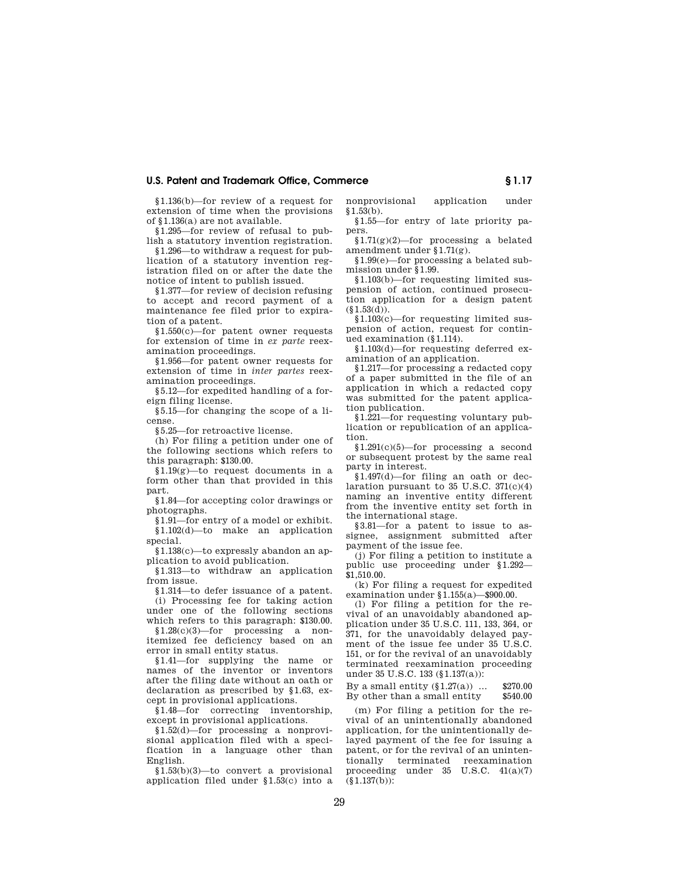## **U.S. Patent and Trademark Office, Commerce § 1.17**

§1.136(b)—for review of a request for extension of time when the provisions of §1.136(a) are not available.

§1.295—for review of refusal to publish a statutory invention registration.

§1.296—to withdraw a request for publication of a statutory invention registration filed on or after the date the notice of intent to publish issued.

§1.377—for review of decision refusing to accept and record payment of a maintenance fee filed prior to expiration of a patent.

§1.550(c)—for patent owner requests for extension of time in *ex parte* reexamination proceedings.

§1.956—for patent owner requests for extension of time in *inter partes* reexamination proceedings.

§5.12—for expedited handling of a foreign filing license.

§5.15—for changing the scope of a license.

§5.25—for retroactive license.

(h) For filing a petition under one of the following sections which refers to this paragraph: \$130.00.

§1.19(g)—to request documents in a form other than that provided in this part.

§1.84—for accepting color drawings or photographs.

§1.91—for entry of a model or exhibit. §1.102(d)—to make an application special.

§1.138(c)—to expressly abandon an application to avoid publication.

§1.313—to withdraw an application from issue.

§1.314—to defer issuance of a patent. (i) Processing fee for taking action under one of the following sections

which refers to this paragraph: \$130.00. §1.28(c)(3)—for processing a nonitemized fee deficiency based on an error in small entity status.

§1.41—for supplying the name or names of the inventor or inventors after the filing date without an oath or declaration as prescribed by §1.63, except in provisional applications.

§1.48—for correcting inventorship, except in provisional applications.

§1.52(d)—for processing a nonprovisional application filed with a specification in a language other than English.

§1.53(b)(3)—to convert a provisional application filed under §1.53(c) into a nonprovisional application under  $§1.53(b).$ 

§1.55—for entry of late priority papers.

§1.71(g)(2)—for processing a belated amendment under §1.71(g).

§1.99(e)—for processing a belated submission under §1.99.

§1.103(b)—for requesting limited suspension of action, continued prosecution application for a design patent  $(\S 1.53(d)).$ 

§1.103(c)—for requesting limited suspension of action, request for continued examination (§1.114).

§1.103(d)—for requesting deferred examination of an application.

§1.217—for processing a redacted copy of a paper submitted in the file of an application in which a redacted copy was submitted for the patent application publication.

§1.221—for requesting voluntary publication or republication of an application.

§1.291(c)(5)—for processing a second or subsequent protest by the same real party in interest.

§1.497(d)—for filing an oath or declaration pursuant to  $35$  U.S.C.  $371(c)(4)$ naming an inventive entity different from the inventive entity set forth in the international stage.

§3.81—for a patent to issue to assignee, assignment submitted after payment of the issue fee.

(j) For filing a petition to institute a public use proceeding under §1.292— \$1,510.00.

(k) For filing a request for expedited examination under §1.155(a)—\$900.00.

(l) For filing a petition for the revival of an unavoidably abandoned application under 35 U.S.C. 111, 133, 364, or 371, for the unavoidably delayed payment of the issue fee under 35 U.S.C. 151, or for the revival of an unavoidably terminated reexamination proceeding under 35 U.S.C. 133 (§1.137(a)):

By a small entity  $(\S1.27(a))$  ...  $$270.00$ By other than a small entity \$540.00

(m) For filing a petition for the revival of an unintentionally abandoned application, for the unintentionally delayed payment of the fee for issuing a patent, or for the revival of an unintentionally terminated reexamination proceeding under 35 U.S.C. 41(a)(7)  $(§1.137(b))$ :